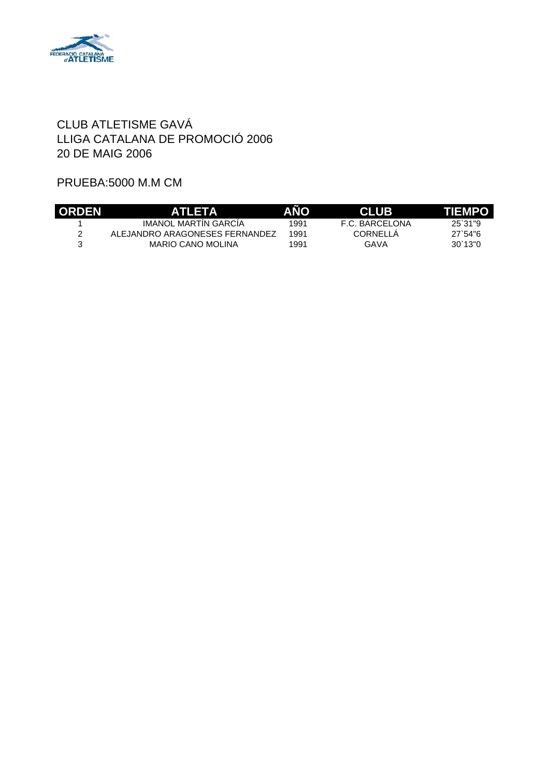

#### PRUEBA:5000 M.M CM

| <b>ORDEN</b> | <b>ATLETA</b>                  | <b>ANO</b> | <b>CLUB</b>    | TIEMPO  |
|--------------|--------------------------------|------------|----------------|---------|
|              | IMANOL MARTIN GARCIA           | 1991       | F.C. BARCELONA | 25,31 9 |
|              | ALEJANDRO ARAGONESES FERNANDEZ | 1991       | CORNELLA       | 27.54%  |
|              | MARIO CANO MOLINA              | 1991       | GAVA           | 30'13"0 |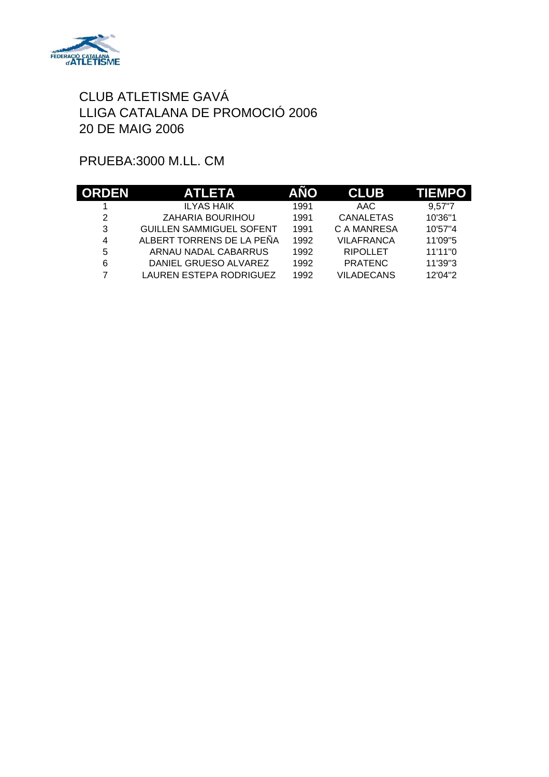

# PRUEBA:3000 M.LL. CM

| <b>ORDEN</b> | <b>ATLETA</b>                   | <b>ANO</b> | <b>CLUB</b>       | <b>TIEMPO</b> |
|--------------|---------------------------------|------------|-------------------|---------------|
|              | <b>ILYAS HAIK</b>               | 1991       | AAC               | 9.57"7        |
| 2            | ZAHARIA BOURIHOU                | 1991       | <b>CANALETAS</b>  | 10'36"1       |
| 3            | <b>GUILLEN SAMMIGUEL SOFENT</b> | 1991       | C A MANRESA       | 10'57"4       |
| 4            | ALBERT TORRENS DE LA PEÑA       | 1992       | <b>VILAFRANCA</b> | 11'09"5       |
| 5            | ARNAU NADAL CABARRUS            | 1992       | <b>RIPOLLET</b>   | 11'11"0       |
| 6            | DANIEL GRUESO ALVAREZ           | 1992       | <b>PRATENC</b>    | 11'39"3       |
| 7            | LAUREN ESTEPA RODRIGUEZ         | 1992       | <b>VILADECANS</b> | 12'04"2       |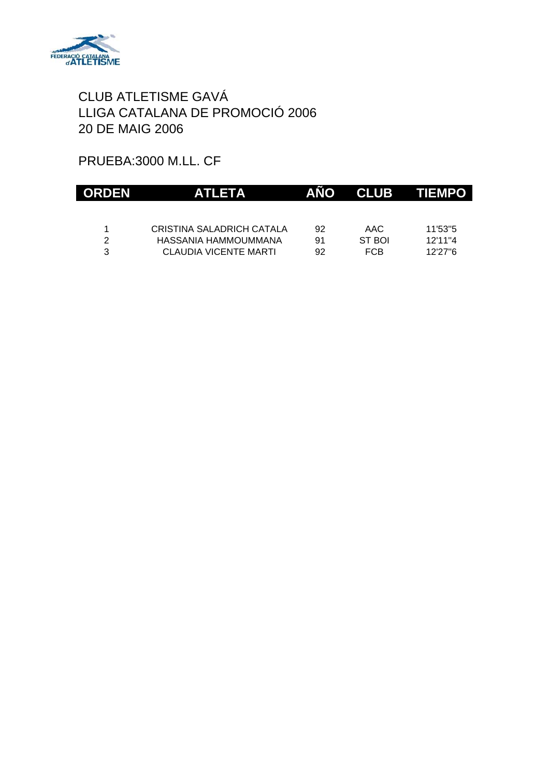

# PRUEBA:3000 M.LL. CF

| <b>ORDEN</b>  | <b>ATLETA</b>             | ANO | <b>CLUB</b> | <b>TIEMPO</b> |
|---------------|---------------------------|-----|-------------|---------------|
|               |                           |     |             |               |
|               | CRISTINA SALADRICH CATALA | 92  | AAC         | 11'53"5       |
| $\mathcal{P}$ | HASSANIA HAMMOUMMANA      | 91  | ST BOI      | 12'11"4       |
| 3             | CLAUDIA VICENTE MARTI     | 92  | <b>FCB</b>  | 12'27"6       |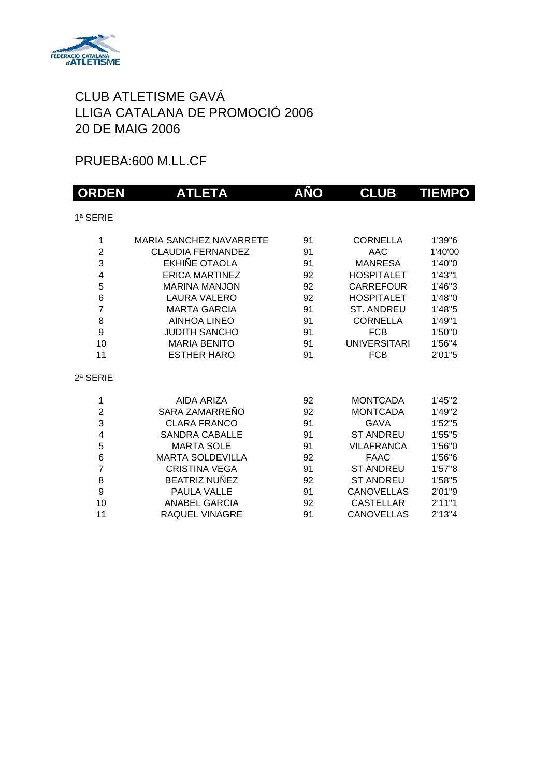

#### PRUEBA:600 M.LL.CF

| <b>ORDEN</b>   | <b>ATLETA</b>                  | <b>AÑO</b> | <b>CLUB</b>         | <b>TIEMPO</b> |
|----------------|--------------------------------|------------|---------------------|---------------|
| 1ª SERIE       |                                |            |                     |               |
| 1              | <b>MARIA SANCHEZ NAVARRETE</b> | 91         | <b>CORNELLA</b>     | 1'39"6        |
| $\overline{2}$ | CLAUDIA FERNANDEZ              | 91         | AAC                 | 1'40'00       |
| 3              | EKHIÑE OTAOLA                  | 91         | <b>MANRESA</b>      | 1'40"0        |
| 4              | <b>ERICA MARTINEZ</b>          | 92         | <b>HOSPITALET</b>   | 1'43''1       |
| 5              | <b>MARINA MANJON</b>           | 92         | CARREFOUR           | 1'46"3        |
| 6              | <b>LAURA VALERO</b>            | 92         | <b>HOSPITALET</b>   | 1'48"0        |
| $\overline{7}$ | <b>MARTA GARCIA</b>            | 91         | <b>ST. ANDREU</b>   | 1'48"5        |
| 8              | <b>AINHOA LINEO</b>            | 91         | <b>CORNELLA</b>     | 1'49"1        |
| 9              | <b>JUDITH SANCHO</b>           | 91         | <b>FCB</b>          | 1'50"0        |
| 10             | <b>MARIA BENITO</b>            | 91         | <b>UNIVERSITARI</b> | 1'56"4        |
| 11             | <b>ESTHER HARO</b>             | 91         | <b>FCB</b>          | 2'01"5        |
| $2a$ SERIE     |                                |            |                     |               |
| 1              | AIDA ARIZA                     | 92         | <b>MONTCADA</b>     | 1'45"2        |
| $\overline{2}$ | SARA ZAMARREÑO                 | 92         | <b>MONTCADA</b>     | 1'49"2        |
| 3              | <b>CLARA FRANCO</b>            | 91         | <b>GAVA</b>         | 1'52"5        |
| 4              | <b>SANDRA CABALLE</b>          | 91         | <b>ST ANDREU</b>    | 1'55"5        |
| 5              | <b>MARTA SOLE</b>              | 91         | <b>VILAFRANCA</b>   | 1'56"0        |
| 6              | <b>MARTA SOLDEVILLA</b>        | 92         | <b>FAAC</b>         | 1'56"6        |
| $\overline{7}$ | <b>CRISTINA VEGA</b>           | 91         | <b>ST ANDREU</b>    | 1'57"8        |
| 8              | <b>BEATRIZ NUÑEZ</b>           | 92         | <b>ST ANDREU</b>    | 1'58"5        |
| 9              | PAULA VALLE                    | 91         | <b>CANOVELLAS</b>   | 2'01"9        |
| 10             | <b>ANABEL GARCIA</b>           | 92         | <b>CASTELLAR</b>    | 2'11''1       |
| 11             | RAQUEL VINAGRE                 | 91         | <b>CANOVELLAS</b>   | 2'13"4        |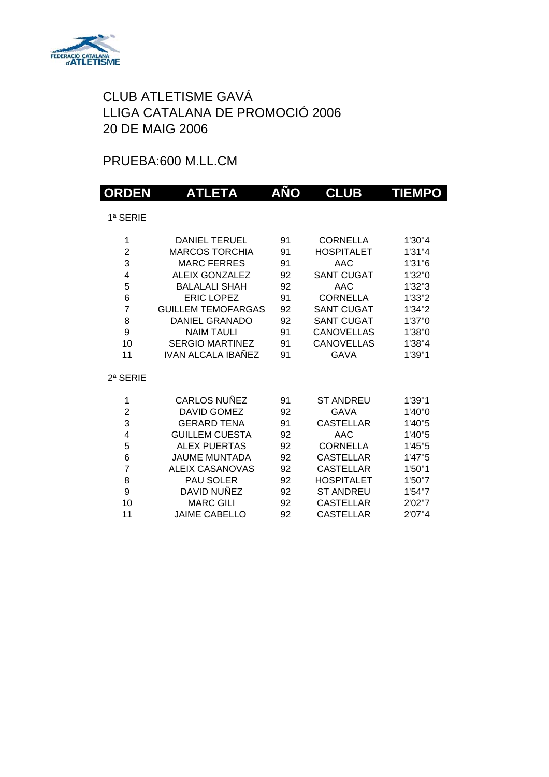

# PRUEBA:600 M.LL.CM

| <b>ORDEN</b>   | <b>ATLETA</b>             | AÑO | <b>CLUB</b>       | <b>TIEMPO</b> |
|----------------|---------------------------|-----|-------------------|---------------|
| 1ª SERIE       |                           |     |                   |               |
|                |                           |     |                   |               |
| 1              | <b>DANIEL TERUEL</b>      | 91  | <b>CORNELLA</b>   | 1'30"4        |
| $\overline{2}$ | <b>MARCOS TORCHIA</b>     | 91  | <b>HOSPITALET</b> | 1'31"4        |
| 3              | <b>MARC FERRES</b>        | 91  | <b>AAC</b>        | 1'31"6        |
| 4              | <b>ALEIX GONZALEZ</b>     | 92  | <b>SANT CUGAT</b> | 1'32"0        |
| 5              | <b>BALALALI SHAH</b>      | 92  | AAC               | 1'32''3       |
| 6              | <b>ERIC LOPEZ</b>         | 91  | <b>CORNELLA</b>   | 1'33"2        |
| $\overline{7}$ | <b>GUILLEM TEMOFARGAS</b> | 92  | <b>SANT CUGAT</b> | 1'34"2        |
| 8              | <b>DANIEL GRANADO</b>     | 92  | <b>SANT CUGAT</b> | 1'37"0        |
| 9              | <b>NAIM TAULI</b>         | 91  | <b>CANOVELLAS</b> | 1'38"0        |
| 10             | <b>SERGIO MARTINEZ</b>    | 91  | <b>CANOVELLAS</b> | 1'38"4        |
| 11             | <b>IVAN ALCALA IBAÑEZ</b> | 91  | <b>GAVA</b>       | 1'39"1        |
| 2ª SERIE       |                           |     |                   |               |
| 1              | <b>CARLOS NUÑEZ</b>       | 91  | <b>ST ANDREU</b>  | 1'39"1        |
| $\overline{c}$ | <b>DAVID GOMEZ</b>        | 92  | <b>GAVA</b>       | 1'40"0        |
| 3              | <b>GERARD TENA</b>        | 91  | <b>CASTELLAR</b>  | 1'40"5        |
| 4              | <b>GUILLEM CUESTA</b>     | 92  | <b>AAC</b>        | 1'40"5        |
| 5              | <b>ALEX PUERTAS</b>       | 92  | <b>CORNELLA</b>   | 1'45"5        |
| 6              | <b>JAUME MUNTADA</b>      | 92  | <b>CASTELLAR</b>  | 1'47"5        |
| $\overline{7}$ | <b>ALEIX CASANOVAS</b>    | 92  | <b>CASTELLAR</b>  | 1'50"1        |
| 8              | PAU SOLER                 | 92  | <b>HOSPITALET</b> | 1'50"7        |
| 9              | DAVID NUÑEZ               | 92  | <b>ST ANDREU</b>  | 1'54"7        |
| 10             | <b>MARC GILI</b>          | 92  | <b>CASTELLAR</b>  | 2'02"7        |
| 11             | <b>JAIME CABELLO</b>      | 92  | <b>CASTELLAR</b>  | 2'07"4        |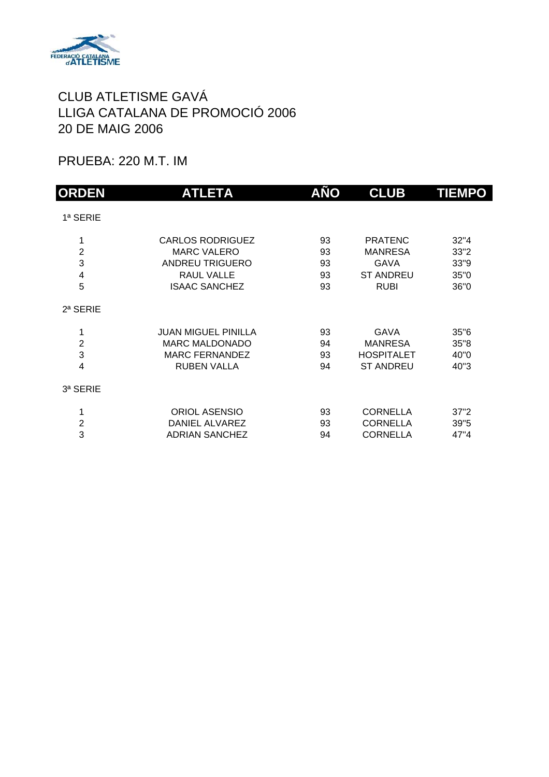

PRUEBA: 220 M.T. IM

| <b>ORDEN</b>                                             | <b>ATLETA</b>                                                                                                        | AÑO                        | <b>CLUB</b>                                                                 | <b>TIEMPO</b>                        |
|----------------------------------------------------------|----------------------------------------------------------------------------------------------------------------------|----------------------------|-----------------------------------------------------------------------------|--------------------------------------|
| 1ª SERIE                                                 |                                                                                                                      |                            |                                                                             |                                      |
| 1<br>$\overline{2}$<br>3<br>$\overline{\mathbf{4}}$<br>5 | <b>CARLOS RODRIGUEZ</b><br><b>MARC VALERO</b><br><b>ANDREU TRIGUERO</b><br><b>RAUL VALLE</b><br><b>ISAAC SANCHEZ</b> | 93<br>93<br>93<br>93<br>93 | <b>PRATENC</b><br><b>MANRESA</b><br>GAVA<br><b>ST ANDREU</b><br><b>RUBI</b> | 32"4<br>33"2<br>33"9<br>35"0<br>36"0 |
| $2a$ SERIE                                               |                                                                                                                      |                            |                                                                             |                                      |
| 1<br>$\overline{2}$<br>3<br>4                            | <b>JUAN MIGUEL PINILLA</b><br><b>MARC MALDONADO</b><br><b>MARC FERNANDEZ</b><br><b>RUBEN VALLA</b>                   | 93<br>94<br>93<br>94       | <b>GAVA</b><br><b>MANRESA</b><br><b>HOSPITALET</b><br><b>ST ANDREU</b>      | 35"6<br>35"8<br>40"0<br>40"3         |
| 3ª SERIE                                                 |                                                                                                                      |                            |                                                                             |                                      |
| 1<br>$\overline{c}$<br>3                                 | <b>ORIOL ASENSIO</b><br>DANIEL ALVAREZ<br><b>ADRIAN SANCHEZ</b>                                                      | 93<br>93<br>94             | <b>CORNELLA</b><br><b>CORNELLA</b><br><b>CORNELLA</b>                       | 37"2<br>39"5<br>47"4                 |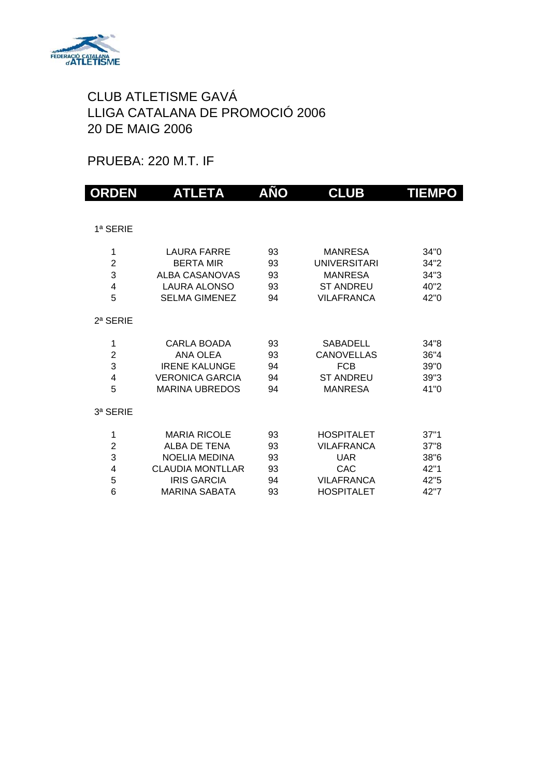

#### PRUEBA: 220 M.T. IF

| <b>ORDEN</b>   | <b>ATLETA</b>           | AÑO | <b>CLUB</b>         | <b>TIEMPO</b> |
|----------------|-------------------------|-----|---------------------|---------------|
|                |                         |     |                     |               |
| 1ª SERIE       |                         |     |                     |               |
| 1              | LAURA FARRE             | 93  | <b>MANRESA</b>      | 34"0          |
| $\overline{2}$ | <b>BERTA MIR</b>        | 93  | <b>UNIVERSITARI</b> | 34"2          |
| 3              | <b>ALBA CASANOVAS</b>   | 93  | <b>MANRESA</b>      | 34"3          |
| 4              | <b>LAURA ALONSO</b>     | 93  | <b>ST ANDREU</b>    | 40"2          |
| 5              | <b>SELMA GIMENEZ</b>    | 94  | <b>VILAFRANCA</b>   | 42"0          |
| $2a$ SERIE     |                         |     |                     |               |
| 1              | <b>CARLA BOADA</b>      | 93  | <b>SABADELL</b>     | 34"8          |
| $\overline{2}$ | ANA OLEA                | 93  | <b>CANOVELLAS</b>   | 36"4          |
| 3              | <b>IRENE KALUNGE</b>    | 94  | <b>FCB</b>          | 39"0          |
| 4              | <b>VERONICA GARCIA</b>  | 94  | <b>ST ANDREU</b>    | 39"3          |
| 5              | <b>MARINA UBREDOS</b>   | 94  | <b>MANRESA</b>      | 41"0          |
| 3ª SERIE       |                         |     |                     |               |
| 1              | <b>MARIA RICOLE</b>     | 93  | <b>HOSPITALET</b>   | 37"1          |
| $\overline{2}$ | <b>ALBA DE TENA</b>     | 93  | <b>VILAFRANCA</b>   | 37"8          |
| 3              | <b>NOELIA MEDINA</b>    | 93  | <b>UAR</b>          | 38"6          |
| 4              | <b>CLAUDIA MONTLLAR</b> | 93  | CAC                 | 42"1          |
| 5              | <b>IRIS GARCIA</b>      | 94  | <b>VILAFRANCA</b>   | 42"5          |
| 6              | <b>MARINA SABATA</b>    | 93  | <b>HOSPITALET</b>   | 42"7          |
|                |                         |     |                     |               |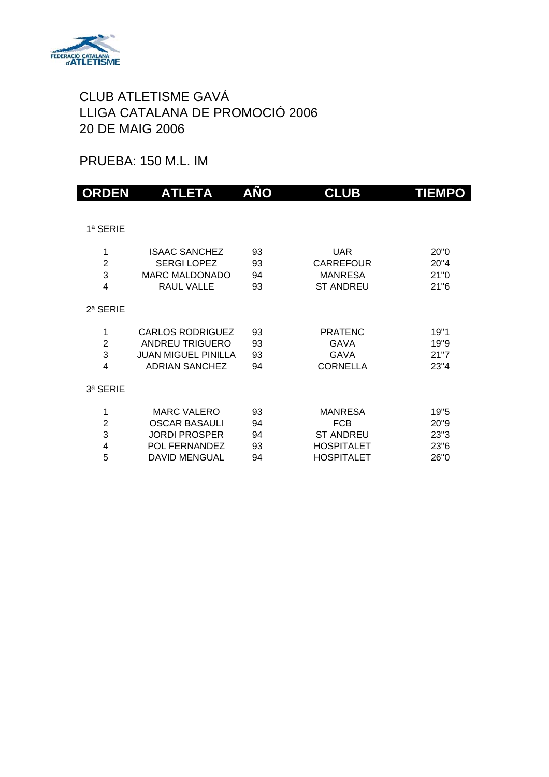

### PRUEBA: 150 M.L. IM

| <b>ORDEN</b>   | <b>ATLETA</b>              | AÑO | <b>CLUB</b>       | <b>TIEMPO</b> |
|----------------|----------------------------|-----|-------------------|---------------|
|                |                            |     |                   |               |
| 1ª SERIE       |                            |     |                   |               |
| 1              | <b>ISAAC SANCHEZ</b>       | 93  | <b>UAR</b>        | 20"0          |
| $\overline{2}$ | <b>SERGI LOPEZ</b>         | 93  | <b>CARREFOUR</b>  | 20"4          |
| 3              | <b>MARC MALDONADO</b>      | 94  | <b>MANRESA</b>    | 21"0          |
| 4              | <b>RAUL VALLE</b>          | 93  | <b>ST ANDREU</b>  | 21"6          |
| 2ª SERIE       |                            |     |                   |               |
| 1              | <b>CARLOS RODRIGUEZ</b>    | 93  | <b>PRATENC</b>    | 19"1          |
| $\overline{2}$ | <b>ANDREU TRIGUERO</b>     | 93  | GAVA              | 19"9          |
| 3              | <b>JUAN MIGUEL PINILLA</b> | 93  | <b>GAVA</b>       | 21"7          |
| 4              | <b>ADRIAN SANCHEZ</b>      | 94  | <b>CORNELLA</b>   | 23"4          |
| 3ª SERIE       |                            |     |                   |               |
| 1              | <b>MARC VALERO</b>         | 93  | <b>MANRESA</b>    | 19"5          |
| $\overline{2}$ | <b>OSCAR BASAULI</b>       | 94  | <b>FCB</b>        | 20"9          |
| 3              | <b>JORDI PROSPER</b>       | 94  | <b>ST ANDREU</b>  | 23"3          |
| 4              | POL FERNANDEZ              | 93  | <b>HOSPITALET</b> | 23"6          |
| 5              | <b>DAVID MENGUAL</b>       | 94  | <b>HOSPITALET</b> | 26"0          |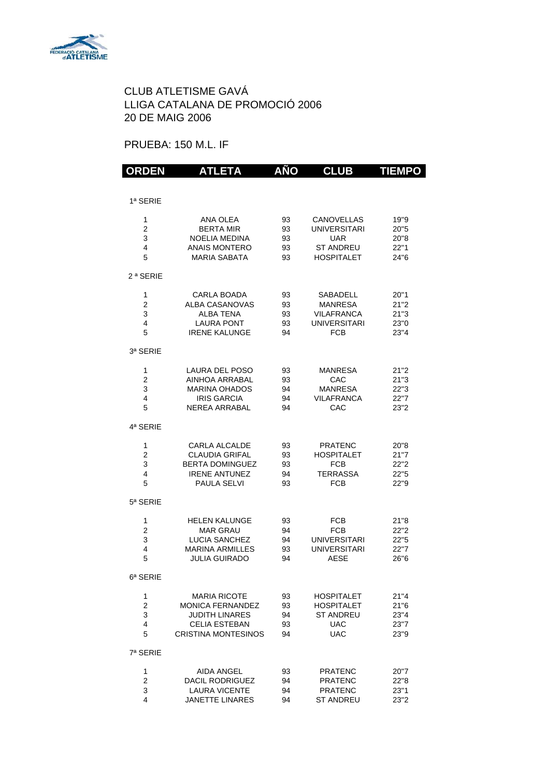

#### PRUEBA: 150 M.L. IF

| <b>ORDEN</b>                       | <b>ATLETA</b>                                                                                                          | AÑO                        | <b>CLUB</b>                                                                              | <b>TIEMPO</b>                        |
|------------------------------------|------------------------------------------------------------------------------------------------------------------------|----------------------------|------------------------------------------------------------------------------------------|--------------------------------------|
|                                    |                                                                                                                        |                            |                                                                                          |                                      |
| 1ª SERIE                           |                                                                                                                        |                            |                                                                                          |                                      |
| 1<br>2<br>3<br>4<br>5              | ANA OLEA<br><b>BERTA MIR</b><br><b>NOELIA MEDINA</b><br><b>ANAIS MONTERO</b><br><b>MARIA SABATA</b>                    | 93<br>93<br>93<br>93<br>93 | CANOVELLAS<br><b>UNIVERSITARI</b><br><b>UAR</b><br><b>ST ANDREU</b><br><b>HOSPITALET</b> | 19"9<br>20"5<br>20"8<br>22"1<br>24"6 |
| 2 <sup>a</sup> SERIE               |                                                                                                                        |                            |                                                                                          |                                      |
| 1<br>$\overline{c}$<br>3<br>4<br>5 | CARLA BOADA<br><b>ALBA CASANOVAS</b><br>ALBA TENA<br><b>LAURA PONT</b><br><b>IRENE KALUNGE</b>                         | 93<br>93<br>93<br>93<br>94 | SABADELL<br><b>MANRESA</b><br><b>VILAFRANCA</b><br><b>UNIVERSITARI</b><br><b>FCB</b>     | 20"1<br>21"2<br>21"3<br>23"0<br>23"4 |
| 3ª SERIE                           |                                                                                                                        |                            |                                                                                          |                                      |
| 1<br>$\overline{c}$<br>3<br>4<br>5 | LAURA DEL POSO<br>AINHOA ARRABAL<br><b>MARINA OHADOS</b><br><b>IRIS GARCIA</b><br>NFRFA ARRABAI                        | 93<br>93<br>94<br>94<br>94 | MANRESA<br>CAC<br><b>MANRESA</b><br><b>VILAFRANCA</b><br>CAC                             | 21"2<br>21"3<br>22"3<br>22"7<br>23"2 |
| 4ª SERIE                           |                                                                                                                        |                            |                                                                                          |                                      |
| 1<br>$\overline{2}$<br>3<br>4<br>5 | <b>CARLA ALCALDE</b><br><b>CLAUDIA GRIFAL</b><br><b>BERTA DOMINGUEZ</b><br><b>IRENE ANTUNEZ</b><br><b>PAULA SELVI</b>  | 93<br>93<br>93<br>94<br>93 | <b>PRATENC</b><br><b>HOSPITALET</b><br><b>FCB</b><br><b>TERRASSA</b><br><b>FCB</b>       | 20"8<br>21"7<br>22"2<br>22"5<br>22"9 |
| 5ª SERIE                           |                                                                                                                        |                            |                                                                                          |                                      |
| 1<br>$\overline{2}$<br>3<br>4<br>5 | <b>HELEN KALUNGE</b><br><b>MAR GRAU</b><br><b>LUCIA SANCHEZ</b><br><b>MARINA ARMILLES</b><br><b>JULIA GUIRADO</b>      | 93<br>94<br>94<br>93<br>94 | <b>FCB</b><br>FCB<br><b>UNIVERSITARI</b><br><b>UNIVERSITARI</b><br><b>AESE</b>           | 21"8<br>22"2<br>22"5<br>22"7<br>26"6 |
| 6ª SERIE                           |                                                                                                                        |                            |                                                                                          |                                      |
| 1<br>2<br>3<br>4<br>5              | <b>MARIA RICOTE</b><br><b>MONICA FERNANDEZ</b><br>JUDITH LINARES<br><b>CELIA ESTEBAN</b><br><b>CRISTINA MONTESINOS</b> | 93<br>93<br>94<br>93<br>94 | <b>HOSPITALET</b><br><b>HOSPITALET</b><br><b>ST ANDREU</b><br><b>UAC</b><br><b>UAC</b>   | 21"4<br>21"6<br>23"4<br>23"7<br>23"9 |
| 7ª SERIE                           |                                                                                                                        |                            |                                                                                          |                                      |
| 1<br>$\overline{c}$<br>3<br>4      | AIDA ANGEL<br><b>DACIL RODRIGUEZ</b><br><b>LAURA VICENTE</b><br><b>JANETTE LINARES</b>                                 | 93<br>94<br>94<br>94       | <b>PRATENC</b><br><b>PRATENC</b><br><b>PRATENC</b><br><b>ST ANDREU</b>                   | 20"7<br>22"8<br>23"1<br>23"2         |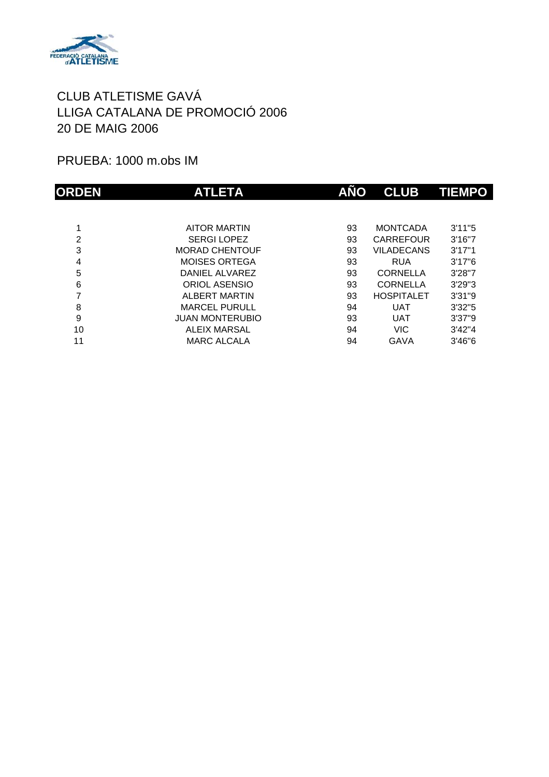

PRUEBA: 1000 m.obs IM

| <b>ORDEN</b> | <b>ATLETA</b>          | AÑO | <b>CLUB</b>       | <b>TIEMPO</b> |
|--------------|------------------------|-----|-------------------|---------------|
|              |                        |     |                   |               |
|              | <b>AITOR MARTIN</b>    | 93  | <b>MONTCADA</b>   | 3'11''5       |
| 2            | <b>SERGILOPEZ</b>      | 93  | CARREFOUR         | 3'16''7       |
| 3            | <b>MORAD CHENTOUF</b>  | 93  | <b>VILADECANS</b> | 3'17''1       |
| 4            | <b>MOISES ORTEGA</b>   | 93  | <b>RUA</b>        | 3'17''6       |
| 5            | DANIEL ALVAREZ         | 93  | <b>CORNELLA</b>   | 3'28"7        |
| 6            | ORIOL ASENSIO          | 93  | <b>CORNELLA</b>   | 3'29''3       |
| 7            | <b>ALBERT MARTIN</b>   | 93  | <b>HOSPITALET</b> | 3'31''9       |
| 8            | <b>MARCEL PURULL</b>   | 94  | <b>UAT</b>        | 3'32''5       |
| 9            | <b>JUAN MONTERUBIO</b> | 93  | <b>UAT</b>        | 3'37''9       |
| 10           | <b>ALEIX MARSAL</b>    | 94  | <b>VIC</b>        | 3'42''4       |
| 11           | <b>MARC ALCALA</b>     | 94  | GAVA              | 3'46''6       |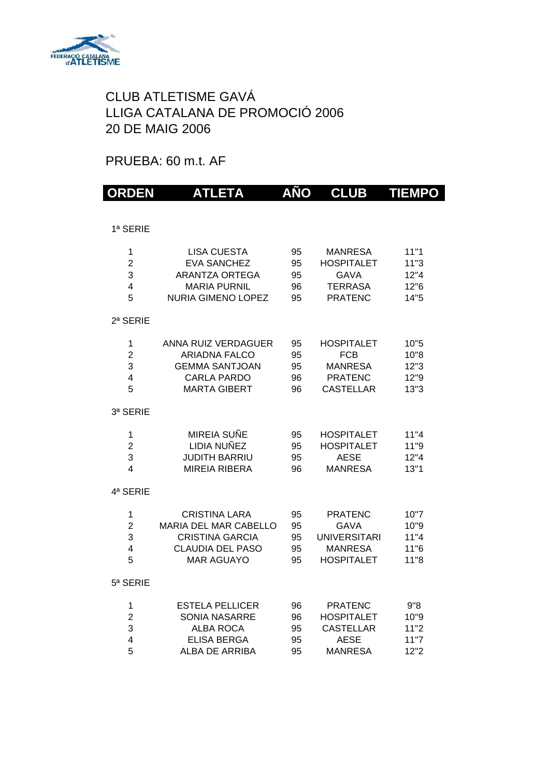

# PRUEBA: 60 m.t. AF

| <b>ORDEN</b>                 | ATLETA                                       | AÑO      | <b>CLUB</b>                         | <b>TIEMPO</b> |
|------------------------------|----------------------------------------------|----------|-------------------------------------|---------------|
|                              |                                              |          |                                     |               |
| 1ª SERIE                     |                                              |          |                                     |               |
| 1                            | <b>LISA CUESTA</b>                           | 95       | <b>MANRESA</b>                      | 11"1          |
| $\overline{2}$               | <b>EVA SANCHEZ</b><br><b>ARANTZA ORTEGA</b>  | 95       | <b>HOSPITALET</b><br><b>GAVA</b>    | 11"3          |
| 3<br>$\overline{\mathbf{4}}$ | <b>MARIA PURNIL</b>                          | 95<br>96 | <b>TERRASA</b>                      | 12"4<br>12"6  |
| 5                            | <b>NURIA GIMENO LOPEZ</b>                    | 95       | <b>PRATENC</b>                      | 14"5          |
| 2ª SERIE                     |                                              |          |                                     |               |
| 1                            | ANNA RUIZ VERDAGUER                          | 95       | <b>HOSPITALET</b>                   | 10"5          |
| $\overline{2}$               | <b>ARIADNA FALCO</b>                         | 95       | <b>FCB</b>                          | 10"8          |
| 3<br>4                       | <b>GEMMA SANTJOAN</b><br><b>CARLA PARDO</b>  | 95<br>96 | <b>MANRESA</b><br><b>PRATENC</b>    | 12"3<br>12"9  |
| 5                            | <b>MARTA GIBERT</b>                          | 96       | <b>CASTELLAR</b>                    | 13"3          |
| 3ª SERIE                     |                                              |          |                                     |               |
| 1                            | MIREIA SUÑE                                  | 95       | <b>HOSPITALET</b>                   | 11"4          |
| $\overline{2}$               | LIDIA NUÑEZ                                  | 95       | <b>HOSPITALET</b>                   | 11"9          |
| 3<br>$\overline{\mathbf{4}}$ | JUDITH BARRIU<br><b>MIREIA RIBERA</b>        | 95       | <b>AESE</b><br><b>MANRESA</b>       | 12"4<br>13"1  |
|                              |                                              | 96       |                                     |               |
| 4ª SERIE                     |                                              |          |                                     |               |
| 1                            | <b>CRISTINA LARA</b>                         | 95       | <b>PRATENC</b>                      | 10"7          |
| $\overline{2}$               | MARIA DEL MAR CABELLO                        | 95       | <b>GAVA</b>                         | 10"9          |
| 3                            | <b>CRISTINA GARCIA</b>                       | 95       | <b>UNIVERSITARI</b>                 | 11"4          |
| $\overline{\mathbf{4}}$<br>5 | <b>CLAUDIA DEL PASO</b><br><b>MAR AGUAYO</b> | 95<br>95 | <b>MANRESA</b><br><b>HOSPITALET</b> | 11"6<br>11"8  |
|                              |                                              |          |                                     |               |
| 5ª SERIE                     |                                              |          |                                     |               |
| 1                            | <b>ESTELA PELLICER</b>                       | 96       | <b>PRATENC</b>                      | 9"8           |
| $\overline{2}$               | <b>SONIA NASARRE</b>                         | 96       | <b>HOSPITALET</b>                   | 10"9          |
| 3                            | <b>ALBA ROCA</b>                             | 95       | <b>CASTELLAR</b>                    | 11"2          |
| $\overline{4}$<br>5          | <b>ELISA BERGA</b><br>ALBA DE ARRIBA         | 95<br>95 | AESE<br><b>MANRESA</b>              | 11"7<br>12"2  |
|                              |                                              |          |                                     |               |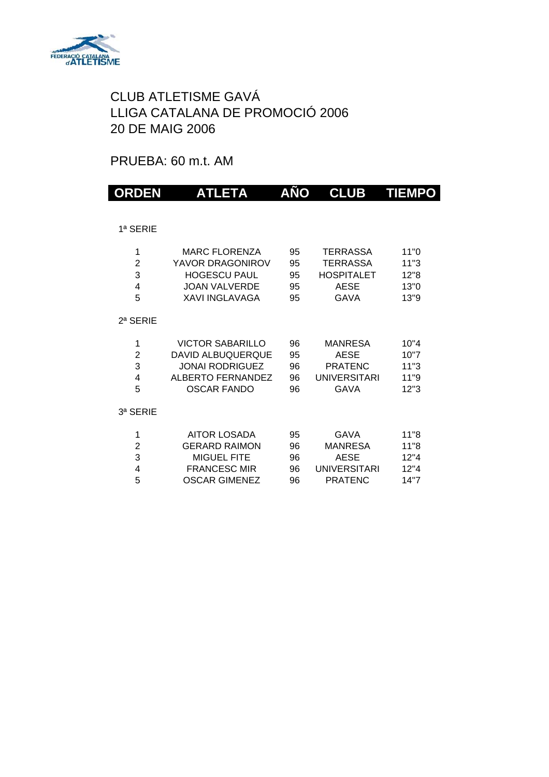

## PRUEBA: 60 m.t. AM

| <b>ORDEN</b>                       | <b>ATLETA</b>                                                                                                     | AÑO                        | <b>CLUB</b>                                                                           | <b>TIEMPO</b>                        |
|------------------------------------|-------------------------------------------------------------------------------------------------------------------|----------------------------|---------------------------------------------------------------------------------------|--------------------------------------|
|                                    |                                                                                                                   |                            |                                                                                       |                                      |
| 1ª SERIE                           |                                                                                                                   |                            |                                                                                       |                                      |
| 1<br>$\overline{2}$<br>3<br>4<br>5 | <b>MARC FLORENZA</b><br>YAVOR DRAGONIROV<br><b>HOGESCU PAUL</b><br><b>JOAN VALVERDE</b><br><b>XAVI INGLAVAGA</b>  | 95<br>95<br>95<br>95<br>95 | <b>TERRASSA</b><br><b>TERRASSA</b><br><b>HOSPITALET</b><br><b>AESE</b><br><b>GAVA</b> | 11"0<br>11"3<br>12"8<br>13"0<br>13"9 |
| 2ª SERIE                           |                                                                                                                   |                            |                                                                                       |                                      |
| 1<br>$\overline{2}$<br>3<br>4<br>5 | <b>VICTOR SABARILLO</b><br><b>DAVID ALBUQUERQUE</b><br><b>JONAI RODRIGUEZ</b><br>ALBERTO FERNANDEZ<br>OSCAR FANDO | 96<br>95<br>96<br>96<br>96 | <b>MANRESA</b><br><b>AESE</b><br><b>PRATENC</b><br>UNIVERSITARI<br><b>GAVA</b>        | 10"4<br>10"7<br>11"3<br>11"9<br>12"3 |
| 3ª SERIE                           |                                                                                                                   |                            |                                                                                       |                                      |
| 1<br>$\overline{2}$<br>3<br>4<br>5 | <b>AITOR LOSADA</b><br><b>GERARD RAIMON</b><br><b>MIGUEL FITE</b><br><b>FRANCESC MIR</b><br><b>OSCAR GIMENEZ</b>  | 95<br>96<br>96<br>96<br>96 | <b>GAVA</b><br><b>MANRESA</b><br><b>AESE</b><br>UNIVERSITARI<br><b>PRATENC</b>        | 11"8<br>11"8<br>12"4<br>12"4<br>14"7 |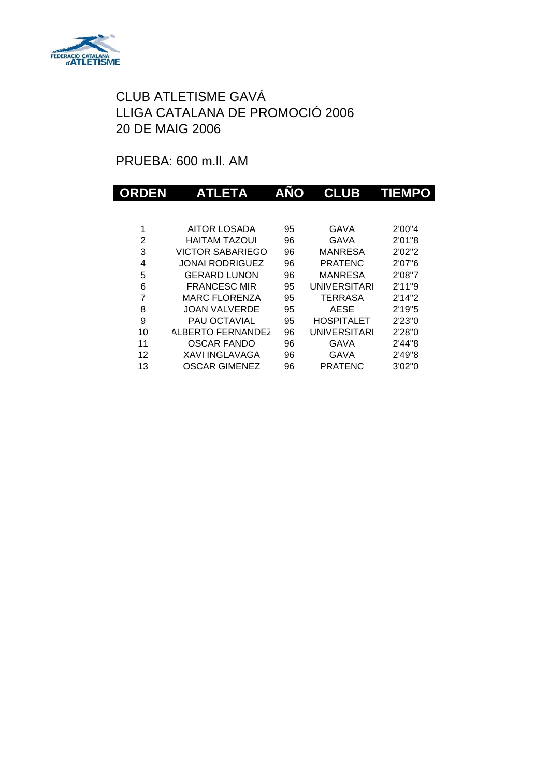

PRUEBA: 600 m.ll. AM

| ORDEN | <b>ATLETA</b>           | AÑO | <b>CLUB</b>         | <b>TIEMPO</b> |
|-------|-------------------------|-----|---------------------|---------------|
|       |                         |     |                     |               |
| 1     | <b>AITOR LOSADA</b>     | 95  | GAVA                | 2'00"4        |
| 2     | HAITAM TAZOUI           | 96  | GAVA                | 2'01"8        |
| 3     | <b>VICTOR SABARIEGO</b> | 96  | <b>MANRESA</b>      | 2'02"2        |
| 4     | <b>JONAI RODRIGUEZ</b>  | 96  | PRATENC             | 2'07"6        |
| 5     | <b>GERARD LUNON</b>     | 96  | <b>MANRESA</b>      | 2'08"7        |
| 6     | <b>FRANCESC MIR</b>     | 95  | <b>UNIVERSITARI</b> | 2'11"9        |
| 7     | <b>MARC FLORENZA</b>    | 95  | TERRASA             | 2'14''2       |
| 8     | JOAN VALVERDE           | 95  | <b>AESE</b>         | 2'19''5       |
| 9     | <b>PAU OCTAVIAL</b>     | 95  | <b>HOSPITALET</b>   | 2'23"0        |
| 10    | ALBERTO FERNANDEZ       | 96  | <b>UNIVERSITARI</b> | 2'28"0        |
| 11    | <b>OSCAR FANDO</b>      | 96  | GAVA                | 2'44"8        |
| 12    | <b>XAVI INGLAVAGA</b>   | 96  | GAVA                | 2'49"8        |
| 13    | OSCAR GIMENEZ           | 96  | PRATENC             | 3'02"0        |
|       |                         |     |                     |               |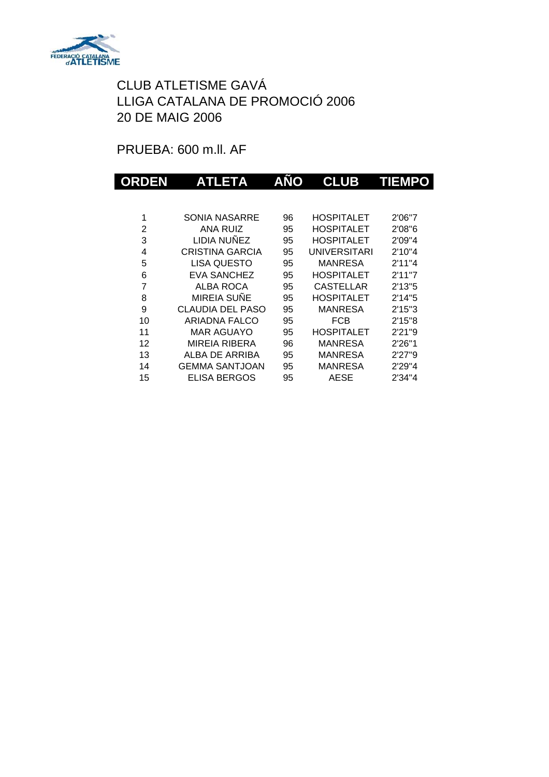

PRUEBA: 600 m.ll. AF

| ORDEN          | <b>ATLETA</b>           | AÑO | <b>CLUB</b>         | <b>TIEMPO</b> |
|----------------|-------------------------|-----|---------------------|---------------|
|                |                         |     |                     |               |
| 1              | SONIA NASARRE           | 96  | <b>HOSPITALET</b>   | 2'06"7        |
| 2              | ANA RUIZ                | 95  | <b>HOSPITALET</b>   | 2'08"6        |
| 3              | LIDIA NUÑEZ             | 95  | <b>HOSPITALET</b>   | 2'09"4        |
| 4              | CRISTINA GARCIA         | 95  | <b>UNIVERSITARI</b> | 2'10"4        |
| 5              | <b>LISA QUESTO</b>      | 95  | <b>MANRESA</b>      | 2'11''4       |
| 6              | <b>EVA SANCHEZ</b>      | 95  | <b>HOSPITALET</b>   | 2'11''7       |
| $\overline{7}$ | <b>ALBA ROCA</b>        | 95  | <b>CASTELLAR</b>    | 2'13''5       |
| 8              | MIREIA SUÑE             | 95  | <b>HOSPITALET</b>   | 2'14''5       |
| 9              | <b>CLAUDIA DEL PASO</b> | 95  | <b>MANRESA</b>      | 2'15''3       |
| 10             | ARIADNA FALCO           | 95  | <b>FCB</b>          | 2'15"8        |
| 11             | <b>MAR AGUAYO</b>       | 95  | <b>HOSPITALET</b>   | 2'21"9        |
| 12             | <b>MIREIA RIBERA</b>    | 96  | <b>MANRESA</b>      | 2'26"1        |
| 13             | ALBA DE ARRIBA          | 95  | <b>MANRESA</b>      | 2'27"9        |
| 14             | <b>GEMMA SANTJOAN</b>   | 95  | <b>MANRESA</b>      | 2'29"4        |
| 15             | ELISA BERGOS            | 95  | <b>AESE</b>         | 2'34"4        |
|                |                         |     |                     |               |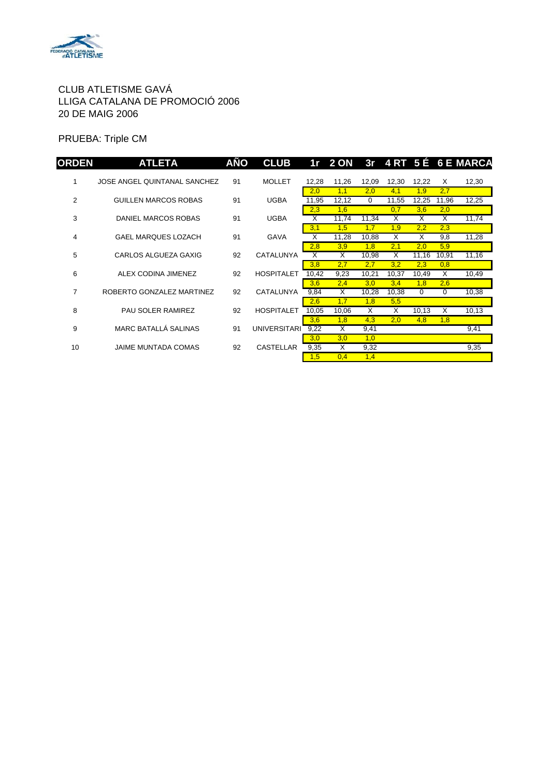

PRUEBA: Triple CM

| <b>ORDEN</b>   | <b>ATLETA</b>                | AÑO | <b>CLUB</b>         |       | 1r 2 ON                 |                         |       |                         |       | 3r 4 RT 5 É 6 E MARCA |
|----------------|------------------------------|-----|---------------------|-------|-------------------------|-------------------------|-------|-------------------------|-------|-----------------------|
| 1              | JOSE ANGEL QUINTANAL SANCHEZ | 91  | <b>MOLLET</b>       | 12,28 | 11,26                   | 12,09                   | 12,30 | 12,22                   | X     | 12,30                 |
|                |                              |     |                     | 2,0   | 1,1                     | 2,0                     | 4,1   | 1,9                     | 2,7   |                       |
| $\overline{2}$ | <b>GUILLEN MARCOS ROBAS</b>  | 91  | <b>UGBA</b>         | 11,95 | 12,12                   | 0                       | 11,55 | 12,25                   | 11,96 | 12,25                 |
|                |                              |     |                     | 2,3   | 1,6                     |                         | 0,7   | 3,6                     | 2,0   |                       |
| 3              | DANIEL MARCOS ROBAS          | 91  | <b>UGBA</b>         | X     | 11,74                   | 11.34                   | X     | X                       | X     | 11,74                 |
|                |                              |     |                     | 3,1   | 1,5                     | 1,7                     | 1,9   | 2,2                     | 2,3   |                       |
| 4              | <b>GAEL MARQUES LOZACH</b>   | 91  | <b>GAVA</b>         | X     | 11,28                   | 10,88                   | X     | $\overline{\mathsf{x}}$ | 9,8   | 11,28                 |
|                |                              |     |                     | 2,8   | 3,9                     | 1,8                     | 2,1   | 2,0                     | 5,9   |                       |
| 5              | CARLOS ALGUEZA GAXIG         | 92  | CATALUNYA           | X     | X                       | 10,98                   | X     | 11,16                   | 10,91 | 11,16                 |
|                |                              |     |                     | 3,8   | 2,7                     | 2,7                     | 3,2   | 2,3                     | 0,8   |                       |
| 6              | ALEX CODINA JIMENEZ          | 92  | <b>HOSPITALET</b>   | 10,42 | 9,23                    | 10,21                   | 10,37 | 10,49                   | X     | 10,49                 |
|                |                              |     |                     | 3,6   | 2,4                     | 3,0                     | 3,4   | 1,8                     | 2,6   |                       |
| 7              | ROBERTO GONZALEZ MARTINEZ    | 92  | <b>CATALUNYA</b>    | 9,84  | X                       | 10,28                   | 10,38 | $\mathbf 0$             | 0     | 10,38                 |
|                |                              |     |                     | 2,6   | 1,7                     | 1,8                     | 5,5   |                         |       |                       |
| 8              | PAU SOLER RAMIREZ            | 92  | <b>HOSPITALET</b>   | 10,05 | 10,06                   | $\overline{\mathsf{x}}$ | X     | 10,13                   | X     | 10,13                 |
|                |                              |     |                     | 3,6   | 1,8                     | 4,3                     | 2,0   | 4,8                     | 1,8   |                       |
| 9              | MARC BATALLÁ SALINAS         | 91  | <b>UNIVERSITARI</b> | 9,22  | $\overline{\mathsf{x}}$ | 9,41                    |       |                         |       | 9,41                  |
|                |                              |     |                     | 3,0   | 3,0                     | 1,0                     |       |                         |       |                       |
| 10             | JAIME MUNTADA COMAS          | 92  | <b>CASTELLAR</b>    | 9,35  | X                       | 9,32                    |       |                         |       | 9,35                  |
|                |                              |     |                     | 1,5   | 0,4                     | 1,4                     |       |                         |       |                       |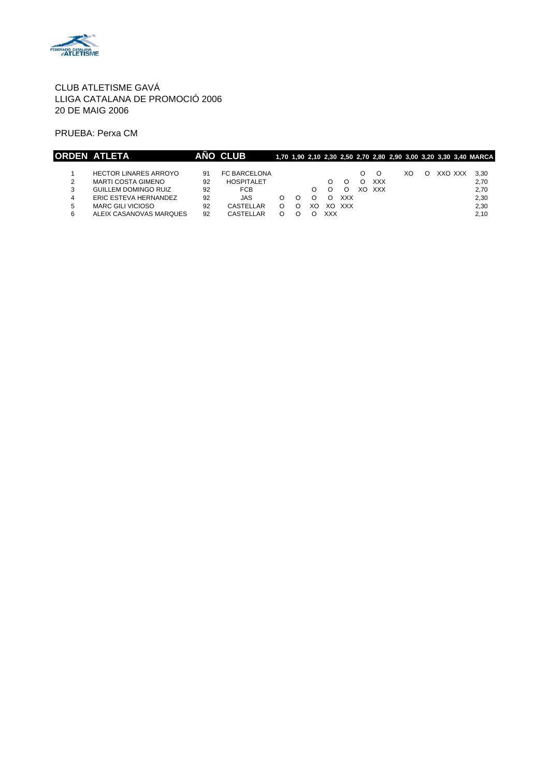

PRUEBA: Perxa CM

|   | ORDEN ATLETA                 |    | AÑO CLUB          |   |    |     |            |     |            |    |         | 1,70 1,90 2,10 2,30 2,50 2,70 2,80 2,90 3,00 3,20 3,30 3,40 MARCA |
|---|------------------------------|----|-------------------|---|----|-----|------------|-----|------------|----|---------|-------------------------------------------------------------------|
|   |                              |    |                   |   |    |     |            |     |            |    |         |                                                                   |
|   | <b>HECTOR LINARES ARROYO</b> | 91 | FC BARCELONA      |   |    |     |            |     |            | XO | XXO XXX | 3.30                                                              |
| 2 | <b>MARTI COSTA GIMENO</b>    | 92 | <b>HOSPITALET</b> |   |    |     |            |     | <b>XXX</b> |    |         | 2,70                                                              |
| 3 | GUILLEM DOMINGO RUIZ         | 92 | <b>FCB</b>        |   | O. |     |            | XO. | <b>XXX</b> |    |         | 2,70                                                              |
| 4 | ERIC ESTEVA HERNANDEZ        | 92 | JAS               | O |    |     | <b>XXX</b> |     |            |    |         | 2.30                                                              |
| 5 | <b>MARC GILI VICIOSO</b>     | 92 | CASTELLAR         | O | XΟ | XO  | <b>XXX</b> |     |            |    |         | 2.30                                                              |
| 6 | ALEIX CASANOVAS MARQUES      | 92 | CASTELLAR         |   |    | XXX |            |     |            |    |         | 2,10                                                              |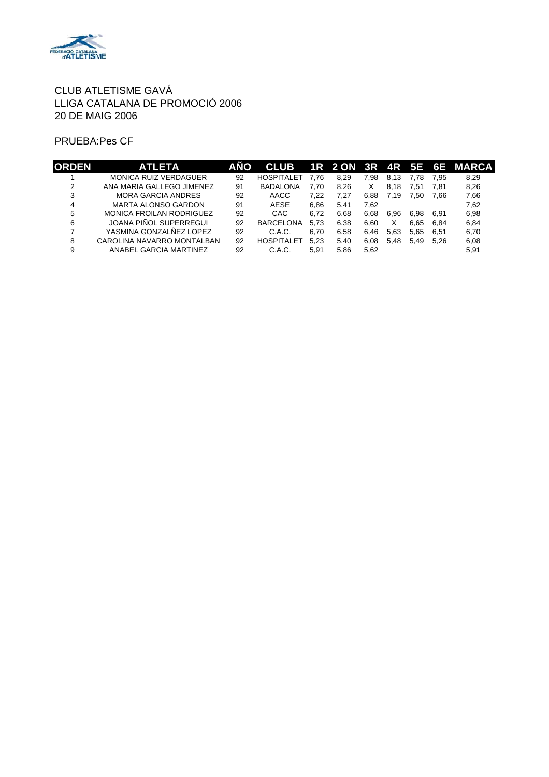

#### PRUEBA:Pes CF

| <b>ORDEN</b> | <b>ATLETA</b>                   | AÑO | <b>CLUB</b>       |      |      |      |      |      |      | 1R 2 ON 3R 4R 5E 6E MARCA |
|--------------|---------------------------------|-----|-------------------|------|------|------|------|------|------|---------------------------|
|              | <b>MONICA RUIZ VERDAGUER</b>    | 92  | <b>HOSPITALET</b> | 7.76 | 8.29 | 7.98 | 8.13 | 7.78 | 7.95 | 8,29                      |
| ◠            | ANA MARIA GALLEGO JIMENEZ       | 91  | <b>BADALONA</b>   | 7.70 | 8.26 | X    | 8.18 | 7.51 | 7.81 | 8,26                      |
| 3            | <b>MORA GARCIA ANDRES</b>       | 92  | AACC              | 7.22 | 7.27 | 6.88 | 7.19 | 7.50 | 7.66 | 7,66                      |
| 4            | MARTA ALONSO GARDON             | 91  | <b>AESE</b>       | 6.86 | 5.41 | 7.62 |      |      |      | 7,62                      |
| 5            | <b>MONICA FROILAN RODRIGUEZ</b> | 92  | CAC               | 6.72 | 6.68 | 6.68 | 6.96 | 6.98 | 6.91 | 6,98                      |
| 6            | JOANA PIÑOL SUPERREGUI          | 92  | <b>BARCELONA</b>  | 5.73 | 6.38 | 6.60 | X    | 6.65 | 6.84 | 6.84                      |
|              | YASMINA GONZALÑEZ LOPEZ         | 92  | C.A.C.            | 6.70 | 6.58 | 6.46 | 5.63 | 5.65 | 6.51 | 6.70                      |
| 8            | CAROLINA NAVARRO MONTALBAN      | 92  | <b>HOSPITALET</b> | 5.23 | 5.40 | 6.08 | 5.48 | 5.49 | 5.26 | 6,08                      |
| 9            | ANABEL GARCIA MARTINEZ          | 92  | C.A.C.            | 5.91 | 5.86 | 5.62 |      |      |      | 5.91                      |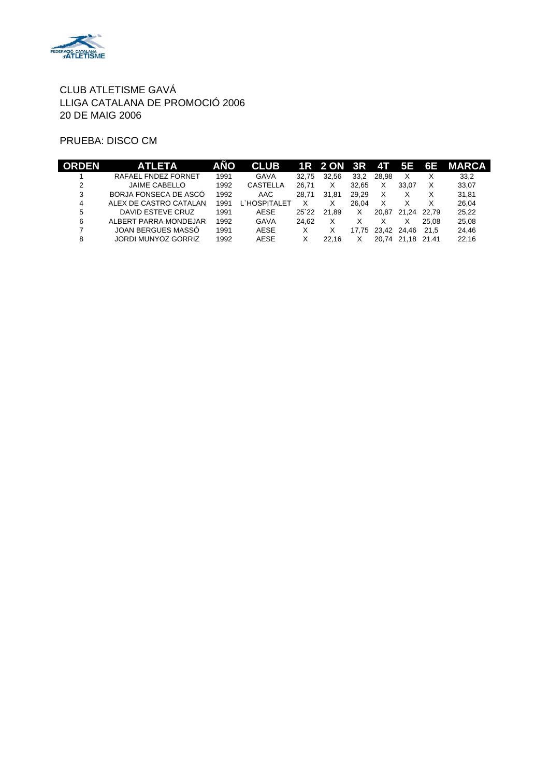

PRUEBA: DISCO CM

|   | <b>ATLETA</b>          | AÑO  | <b>CLUB</b>  |       | 1R 2 ON 3R 4T |       |             | ' 5E        | 6E    | <b>MARCA</b> |
|---|------------------------|------|--------------|-------|---------------|-------|-------------|-------------|-------|--------------|
|   | RAFAEL FNDEZ FORNET    | 1991 | <b>GAVA</b>  | 32.75 | 32.56         | 33.2  | 28.98       | X           |       | 33.2         |
| 2 | <b>JAIME CABELLO</b>   | 1992 | CASTELLA     | 26.71 | X             | 32.65 | х           | 33.07       | X     | 33.07        |
| 3 | BORJA FONSECA DE ASCÓ  | 1992 | AAC          | 28.71 | 31.81         | 29.29 | X           | X           | х     | 31.81        |
| 4 | ALEX DE CASTRO CATALAN | 1991 | L`HOSPITALET |       | Χ             | 26.04 | X           | х           | х     | 26.04        |
| 5 | DAVID ESTEVE CRUZ      | 1991 | <b>AESE</b>  | 25'22 | 21.89         | X     | 20.87       | 21.24       | 22.79 | 25.22        |
| 6 | ALBERT PARRA MONDEJAR  | 1992 | <b>GAVA</b>  | 24.62 | x             |       |             |             | 25.08 | 25.08        |
|   | JOAN BERGUES MASSÓ     | 1991 | AESE         |       |               | 17.75 | 23,42 24,46 |             | 21.5  | 24.46        |
| 8 | JORDI MUNYOZ GORRIZ    | 1992 | AESE         |       | 22.16         |       | 20.74       | 21.18 21.41 |       | 22.16        |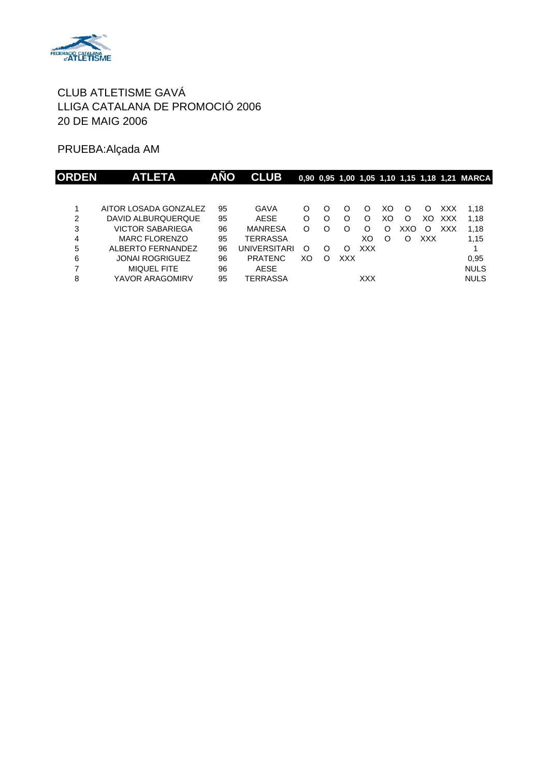

PRUEBA:Alçada AM

| ORDEN | <b>ATLETA</b>          | <b>AÑO</b> | <b>CLUB</b>    |    |   |     |            |    |     |     |            | 0,90 0,95 1,00 1,05 1,10 1,15 1,18 1,21 MARCA |
|-------|------------------------|------------|----------------|----|---|-----|------------|----|-----|-----|------------|-----------------------------------------------|
|       |                        |            |                |    |   |     |            |    |     |     |            |                                               |
|       | AITOR LOSADA GONZALEZ  | 95         | GAVA           | O  | O |     | $\Omega$   | XO | O   | O   | XXX        | 1.18                                          |
| 2     | DAVID ALBURQUERQUE     | 95         | AESE           | O  | O | O   | O          | XO | O   | XO. | <b>XXX</b> | 1.18                                          |
| 3     | VICTOR SABARIEGA       | 96         | <b>MANRESA</b> | O  | O | O   | O          | O  | XXO | O   | XXX        | 1.18                                          |
| 4     | <b>MARC FLORENZO</b>   | 95         | TERRASSA       |    |   |     | XO         | O  | O   | XXX |            | 1,15                                          |
| 5     | ALBERTO FERNANDEZ      | 96         | UNIVERSITARI   | O  | O | O   | <b>XXX</b> |    |     |     |            |                                               |
| 6     | <b>JONAI ROGRIGUEZ</b> | 96         | <b>PRATENC</b> | XO | O | XXX |            |    |     |     |            | 0.95                                          |
| 7     | <b>MIQUEL FITE</b>     | 96         | AESE           |    |   |     |            |    |     |     |            | <b>NULS</b>                                   |
| 8     | YAVOR ARAGOMIRV        | 95         | TERRASSA       |    |   |     | XXX        |    |     |     |            | <b>NULS</b>                                   |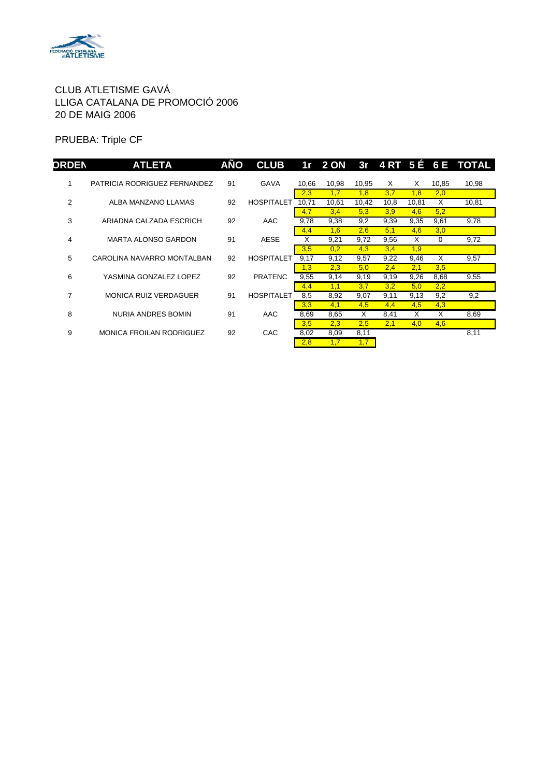

PRUEBA: Triple CF

| <b>ORDEN</b> | <b>ATLETA</b>                   | <b>AÑO</b> | <b>CLUB</b>       |                    |                    |                    |             |              |             | 1r 2 ON 3r 4 RT 5 E 6 E TOTAL |
|--------------|---------------------------------|------------|-------------------|--------------------|--------------------|--------------------|-------------|--------------|-------------|-------------------------------|
|              | PATRICIA RODRIGUEZ FERNANDEZ    | 91         | <b>GAVA</b>       | 10.66              | 10.98              | 10.95              | X.          | X            | 10.85       | 10,98                         |
|              |                                 |            |                   | 2,3                | 1,7                | 1,8                | 3,7         | 1,8          | 2,0         |                               |
| 2            | ALBA MANZANO LLAMAS             | 92         | <b>HOSPITALET</b> | 10.71<br>4,7       | 10.61<br>3,4       | 10.42<br>5,3       | 10.8<br>3,9 | 10,81<br>4,6 | X<br>5,2    | 10,81                         |
| 3            | ARIADNA CALZADA ESCRICH         | 92         | AAC               | 9,78               | 9,38               | 9,2                | 9,39        | 9,35         | 9,61        | 9,78                          |
|              |                                 |            |                   | 4,4                | 1,6                | 2,6                | 5,1         | 4,6          | 3,0         |                               |
| 4            | MARTA ALONSO GARDON             | 91         | <b>AESE</b>       | X                  | 9,21               | 9,72               | 9,56        | X            | $\Omega$    | 9,72                          |
| 5            | CAROLINA NAVARRO MONTALBAN      | 92         | <b>HOSPITALET</b> | 3,5<br>9,17        | 0,2<br>9,12        | 4,3<br>9,57        | 3,4<br>9,22 | 1,9<br>9,46  | X           | 9,57                          |
| 6            | YASMINA GONZALEZ LOPEZ          | 92         | <b>PRATENC</b>    | 1,3<br>9,55        | 2,3<br>9,14        | 5,0<br>9,19        | 2,4<br>9,19 | 2,1<br>9,26  | 3,5<br>8,68 | 9,55                          |
| 7            | <b>MONICA RUIZ VERDAGUER</b>    | 91         | <b>HOSPITALET</b> | 4,4<br>8,5         | 1.1<br>8,92        | 3,7<br>9,07        | 3,2<br>9,11 | 5,0<br>9,13  | 2,2<br>9,2  | 9,2                           |
| 8            | NURIA ANDRES BOMIN              | 91         | AAC               | 3,3<br>8,69        | 4,1<br>8,65        | 4,5<br>Х           | 4,4<br>8,41 | 4,5<br>X     | 4,3<br>X    | 8,69                          |
| 9            | <b>MONICA FROILAN RODRIGUEZ</b> | 92         | CAC               | 3,5<br>8,02<br>2,8 | 2,3<br>8,09<br>1,7 | 2,5<br>8,11<br>1,7 | 2,1         | 4,0          | 4,6         | 8,11                          |
|              |                                 |            |                   |                    |                    |                    |             |              |             |                               |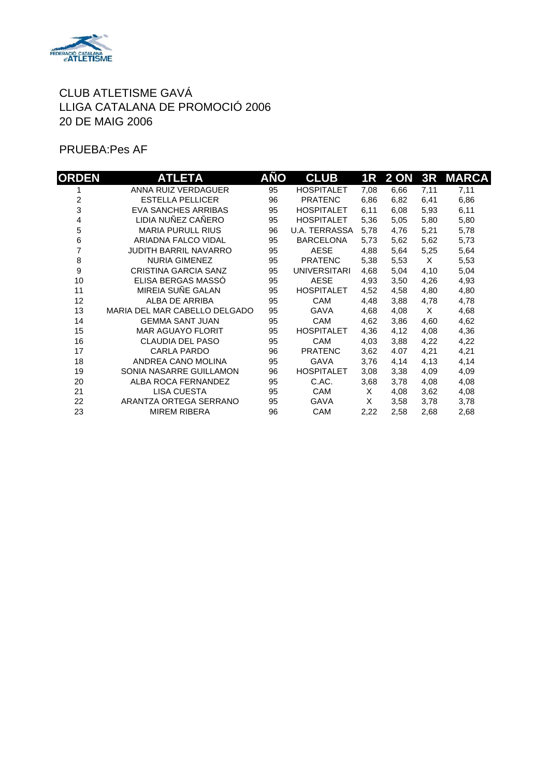

PRUEBA:Pes AF

| <b>ORDEN</b> | ATLETA                        | AÑO | <b>CLUB</b>          |      | 1R 2 ON | 3R   | <b>MARCA</b> |
|--------------|-------------------------------|-----|----------------------|------|---------|------|--------------|
|              | ANNA RUIZ VERDAGUER           | 95  | <b>HOSPITALET</b>    | 7,08 | 6,66    | 7,11 | 7,11         |
| 2            | <b>ESTELLA PELLICER</b>       | 96  | <b>PRATENC</b>       | 6,86 | 6,82    | 6,41 | 6,86         |
| 3            | <b>EVA SANCHES ARRIBAS</b>    | 95  | <b>HOSPITALET</b>    | 6,11 | 6,08    | 5,93 | 6,11         |
| 4            | LIDIA NUÑEZ CAÑERO            | 95  | <b>HOSPITALET</b>    | 5,36 | 5,05    | 5,80 | 5,80         |
| 5            | <b>MARIA PURULL RIUS</b>      | 96  | <b>U.A. TERRASSA</b> | 5,78 | 4,76    | 5,21 | 5,78         |
| 6            | ARIADNA FALCO VIDAL           | 95  | <b>BARCELONA</b>     | 5,73 | 5,62    | 5,62 | 5,73         |
| 7            | <b>JUDITH BARRIL NAVARRO</b>  | 95  | <b>AESE</b>          | 4,88 | 5,64    | 5,25 | 5,64         |
| 8            | <b>NURIA GIMENEZ</b>          | 95  | <b>PRATENC</b>       | 5,38 | 5,53    | X    | 5,53         |
| 9            | <b>CRISTINA GARCIA SANZ</b>   | 95  | <b>UNIVERSITARI</b>  | 4,68 | 5,04    | 4,10 | 5,04         |
| 10           | ELISA BERGAS MASSÓ            | 95  | <b>AESE</b>          | 4,93 | 3,50    | 4,26 | 4,93         |
| 11           | MIREIA SUÑE GALAN             | 95  | <b>HOSPITALET</b>    | 4,52 | 4,58    | 4,80 | 4,80         |
| 12           | ALBA DE ARRIBA                | 95  | <b>CAM</b>           | 4,48 | 3,88    | 4,78 | 4,78         |
| 13           | MARIA DEL MAR CABELLO DELGADO | 95  | <b>GAVA</b>          | 4,68 | 4,08    | X    | 4,68         |
| 14           | <b>GEMMA SANT JUAN</b>        | 95  | <b>CAM</b>           | 4,62 | 3,86    | 4,60 | 4,62         |
| 15           | MAR AGUAYO FLORIT             | 95  | <b>HOSPITALET</b>    | 4,36 | 4,12    | 4,08 | 4,36         |
| 16           | <b>CLAUDIA DEL PASO</b>       | 95  | <b>CAM</b>           | 4,03 | 3,88    | 4,22 | 4,22         |
| 17           | <b>CARLA PARDO</b>            | 96  | <b>PRATENC</b>       | 3,62 | 4.07    | 4,21 | 4,21         |
| 18           | ANDREA CANO MOLINA            | 95  | <b>GAVA</b>          | 3,76 | 4,14    | 4,13 | 4,14         |
| 19           | SONIA NASARRE GUILLAMON       | 96  | <b>HOSPITALET</b>    | 3,08 | 3,38    | 4,09 | 4,09         |
| 20           | ALBA ROCA FERNANDEZ           | 95  | C.AC.                | 3,68 | 3,78    | 4,08 | 4,08         |
| 21           | <b>LISA CUESTA</b>            | 95  | <b>CAM</b>           | X    | 4,08    | 3,62 | 4,08         |
| 22           | ARANTZA ORTEGA SERRANO        | 95  | GAVA                 | X    | 3,58    | 3,78 | 3,78         |
| 23           | <b>MIREM RIBERA</b>           | 96  | CAM                  | 2,22 | 2,58    | 2,68 | 2,68         |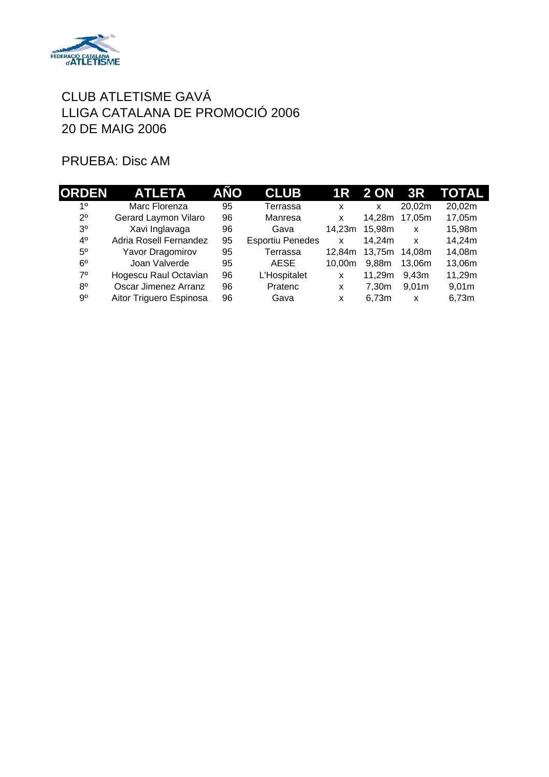

# PRUEBA: Disc AM

| <b>ORDEN</b>   | <b>ATLETA</b>           | AÑO | <b>CLUB</b>             |        | 1R 2 ON 3R                |                   | TOTAL  |
|----------------|-------------------------|-----|-------------------------|--------|---------------------------|-------------------|--------|
| 1 <sup>0</sup> | Marc Florenza           | 95  | Terrassa                | x      | $\boldsymbol{\mathsf{x}}$ | 20.02m            | 20,02m |
| $2^{\circ}$    | Gerard Laymon Vilaro    | 96  | Manresa                 | X      | 14.28m                    | 17.05m            | 17,05m |
| 3 <sup>o</sup> | Xavi Inglavaga          | 96  | Gava                    | 14.23m | 15.98m                    | X                 | 15,98m |
| $4^{\circ}$    | Adria Rosell Fernandez  | 95  | <b>Esportiu Penedes</b> | x      | 14,24m                    | X                 | 14,24m |
| $5^{\circ}$    | Yavor Dragomirov        | 95  | Terrassa                | 12.84m | 13,75m                    | 14.08m            | 14,08m |
| $6^{\circ}$    | Joan Valverde           | 95  | AESE                    | 10.00m | 9.88m                     | 13.06m            | 13,06m |
| $7^{\circ}$    | Hogescu Raul Octavian   | 96  | L'Hospitalet            | X      | 11.29m                    | 9.43 <sub>m</sub> | 11,29m |
| $8^{\circ}$    | Oscar Jimenez Arranz    | 96  | Pratenc                 | X      | 7.30m                     | 9.01 <sub>m</sub> | 9,01m  |
| 90             | Aitor Triguero Espinosa | 96  | Gava                    | x      | 6.73m                     | x                 | 6,73m  |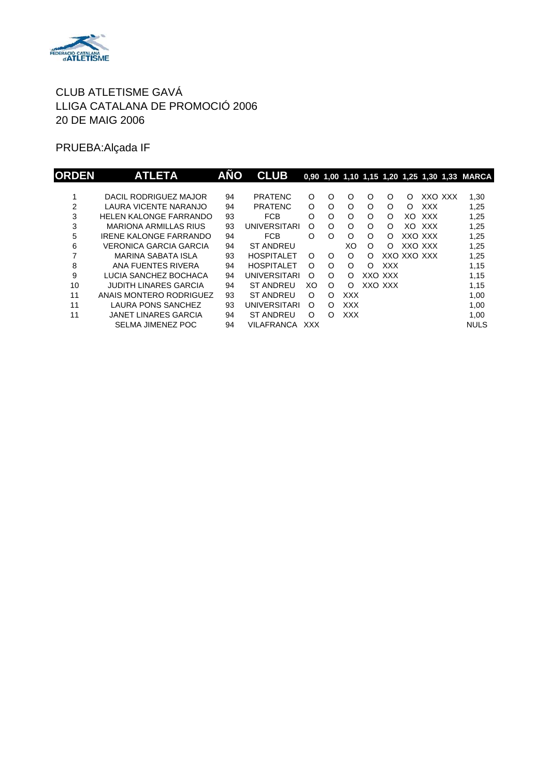

PRUEBA:Alçada IF

| <b>ORDEN</b> | <b>ATLETA</b>                 | <b>AÑO</b> | <b>CLUB</b>         |          |          |            |          |            |             |            | 0.90 1.00 1.10 1.15 1.20 1.25 1.30 1.33 MARCA |
|--------------|-------------------------------|------------|---------------------|----------|----------|------------|----------|------------|-------------|------------|-----------------------------------------------|
|              |                               |            |                     |          |          |            |          |            |             |            |                                               |
|              | DACIL RODRIGUEZ MAJOR         | 94         | <b>PRATENC</b>      | O        | O        | O          | O        | O          | O           | XXO XXX    | 1,30                                          |
| 2            | LAURA VICENTE NARANJO         | 94         | <b>PRATENC</b>      | O        | O        | O          | O        | $\Omega$   | O           | <b>XXX</b> | 1,25                                          |
| 3            | <b>HELEN KALONGE FARRANDO</b> | 93         | <b>FCB</b>          | O        | O        | O          | $\circ$  | O          | XO          | <b>XXX</b> | 1,25                                          |
| 3            | <b>MARIONA ARMILLAS RIUS</b>  | 93         | UNIVERSITARI        | O        | O        | O          | $\circ$  | $\Omega$   | XO.         | xxx        | 1,25                                          |
| 5            | IRENE KALONGE FARRANDO        | 94         | <b>FCB</b>          | $\Omega$ | O        | O          | O        | $\Omega$   |             | XXO XXX    | 1,25                                          |
| 6            | VERONICA GARCIA GARCIA        | 94         | <b>ST ANDREU</b>    |          |          | XO         | $\circ$  | ∩          | XXO XXX     |            | 1,25                                          |
|              | MARINA SABATA ISLA            | 93         | <b>HOSPITALET</b>   | $\Omega$ | $\Omega$ | O          | O        |            | XXO XXO XXX |            | 1,25                                          |
| 8            | ANA FUENTES RIVERA            | 94         | <b>HOSPITALET</b>   | ∩        | $\Omega$ | O          | $\Omega$ | <b>XXX</b> |             |            | 1,15                                          |
| 9            | LUCIA SANCHEZ BOCHACA         | 94         | <b>UNIVERSITARI</b> | $\Omega$ | $\Omega$ | Ω          |          | XXO XXX    |             |            | 1,15                                          |
| 10           | <b>JUDITH LINARES GARCIA</b>  | 94         | <b>ST ANDREU</b>    | XO       | $\Omega$ | $\Omega$   |          | XXO XXX    |             |            | 1,15                                          |
| 11           | ANAIS MONTERO RODRIGUEZ       | 93         | <b>ST ANDREU</b>    | $\Omega$ | $\Omega$ | XXX        |          |            |             |            | 1,00                                          |
| 11           | LAURA PONS SANCHEZ            | 93         | UNIVERSITARI        | $\Omega$ | $\Omega$ | <b>XXX</b> |          |            |             |            | 1,00                                          |
| 11           | <b>JANET LINARES GARCIA</b>   | 94         | <b>ST ANDREU</b>    | $\Omega$ | ∩        | <b>XXX</b> |          |            |             |            | 1,00                                          |
|              | <b>SELMA JIMENEZ POC</b>      | 94         | VILAFRANCA          | XXX      |          |            |          |            |             |            | <b>NULS</b>                                   |
|              |                               |            |                     |          |          |            |          |            |             |            |                                               |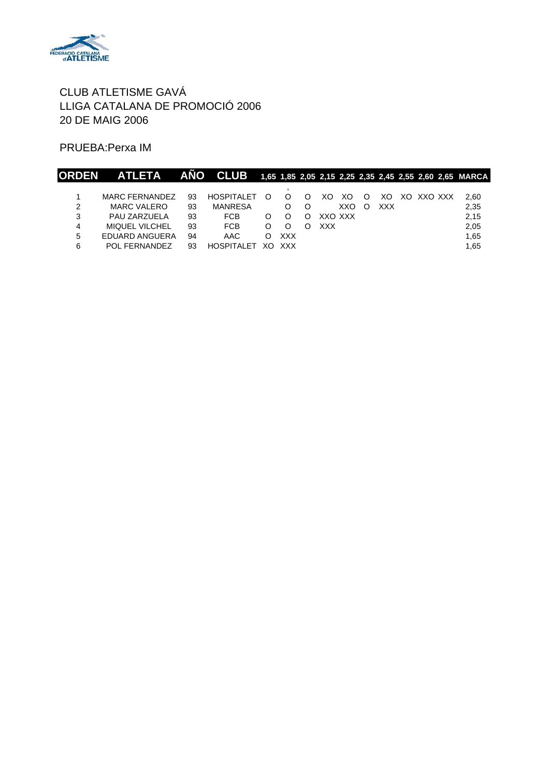

PRUEBA:Perxa IM

| <b>ORDEN</b> | ATLETA ANO CLUB 1,65 1,85 2,05 2,15 2,25 2,35 2,45 2,55 2,60 2,65 MARCA |    |                   |   |            |         |     |   |     |            |      |
|--------------|-------------------------------------------------------------------------|----|-------------------|---|------------|---------|-----|---|-----|------------|------|
|              |                                                                         |    |                   |   |            |         |     |   |     |            |      |
|              | <b>MARC FERNANDEZ</b>                                                   | 93 | <b>HOSPITALET</b> | ∩ |            | XO.     | XO. | O | XO. | XO XXO XXX | 2.60 |
| 2            | MARC VALERO                                                             | 93 | <b>MANRESA</b>    |   |            |         | XXO | ∩ | XXX |            | 2,35 |
| 3            | PAU ZARZUELA                                                            | 93 | FCB               |   |            | XXO XXX |     |   |     |            | 2,15 |
| 4            | <b>MIQUEL VILCHEL</b>                                                   | 93 | <b>FCB</b>        |   |            | XXX     |     |   |     |            | 2,05 |
| 5            | EDUARD ANGUERA                                                          | 94 | AAC               | O | <b>XXX</b> |         |     |   |     |            | 1.65 |
| 6            | POL FERNANDEZ                                                           | 93 | HOSPITALET        |   | XO XXX     |         |     |   |     |            | 1.65 |
|              |                                                                         |    |                   |   |            |         |     |   |     |            |      |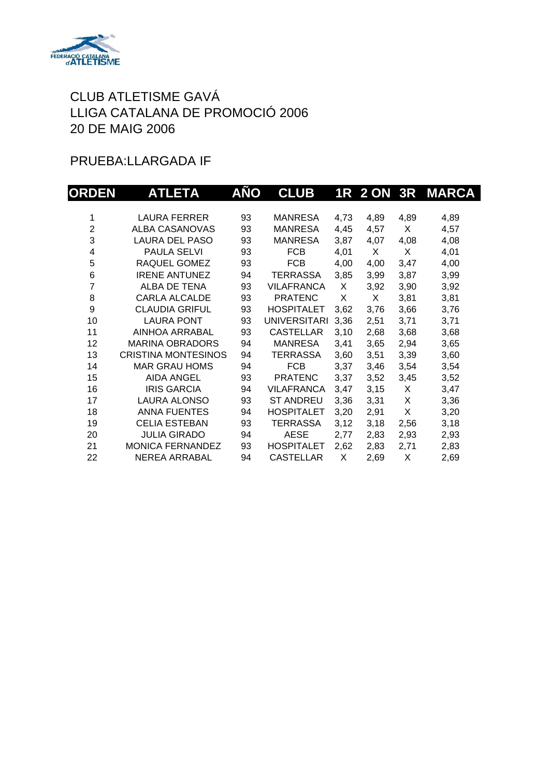

### PRUEBA:LLARGADA IF

| <b>ORDEN</b>   | <b>ATLETA</b>              | AÑO | <b>CLUB</b>         |      | <b>1R 2 ON 3R</b> |      | <b>MARCA</b> |
|----------------|----------------------------|-----|---------------------|------|-------------------|------|--------------|
|                |                            |     |                     |      |                   |      |              |
| 1              | <b>LAURA FERRER</b>        | 93  | <b>MANRESA</b>      | 4,73 | 4,89              | 4,89 | 4,89         |
| $\overline{2}$ | <b>ALBA CASANOVAS</b>      | 93  | MANRESA             | 4,45 | 4,57              | X.   | 4,57         |
| 3              | <b>LAURA DEL PASO</b>      | 93  | <b>MANRESA</b>      | 3,87 | 4,07              | 4,08 | 4,08         |
| 4              | PAULA SELVI                | 93  | <b>FCB</b>          | 4,01 | X                 | Χ    | 4,01         |
| 5              | RAQUEL GOMEZ               | 93  | <b>FCB</b>          | 4,00 | 4,00              | 3,47 | 4,00         |
| 6              | <b>IRENE ANTUNEZ</b>       | 94  | TERRASSA            | 3,85 | 3,99              | 3,87 | 3,99         |
| $\overline{7}$ | ALBA DE TENA               | 93  | <b>VILAFRANCA</b>   | X    | 3,92              | 3,90 | 3,92         |
| 8              | <b>CARLA ALCALDE</b>       | 93  | <b>PRATENC</b>      | X    | X                 | 3,81 | 3,81         |
| 9              | <b>CLAUDIA GRIFUL</b>      | 93  | <b>HOSPITALET</b>   | 3,62 | 3,76              | 3,66 | 3,76         |
| 10             | <b>LAURA PONT</b>          | 93  | <b>UNIVERSITARI</b> | 3,36 | 2,51              | 3,71 | 3,71         |
| 11             | AINHOA ARRABAL             | 93  | <b>CASTELLAR</b>    | 3,10 | 2,68              | 3,68 | 3,68         |
| 12             | <b>MARINA OBRADORS</b>     | 94  | MANRESA             | 3,41 | 3,65              | 2,94 | 3,65         |
| 13             | <b>CRISTINA MONTESINOS</b> | 94  | <b>TERRASSA</b>     | 3,60 | 3,51              | 3,39 | 3,60         |
| 14             | <b>MAR GRAU HOMS</b>       | 94  | <b>FCB</b>          | 3,37 | 3,46              | 3,54 | 3,54         |
| 15             | <b>AIDA ANGEL</b>          | 93  | <b>PRATENC</b>      | 3,37 | 3,52              | 3,45 | 3,52         |
| 16             | <b>IRIS GARCIA</b>         | 94  | <b>VILAFRANCA</b>   | 3,47 | 3,15              | X    | 3,47         |
| 17             | <b>LAURA ALONSO</b>        | 93  | <b>ST ANDREU</b>    | 3,36 | 3,31              | X    | 3,36         |
| 18             | <b>ANNA FUENTES</b>        | 94  | <b>HOSPITALET</b>   | 3,20 | 2,91              | X    | 3,20         |
| 19             | <b>CELIA ESTEBAN</b>       | 93  | <b>TERRASSA</b>     | 3,12 | 3,18              | 2,56 | 3,18         |
| 20             | <b>JULIA GIRADO</b>        | 94  | <b>AESE</b>         | 2,77 | 2,83              | 2,93 | 2,93         |
| 21             | <b>MONICA FERNANDEZ</b>    | 93  | <b>HOSPITALET</b>   | 2,62 | 2,83              | 2,71 | 2,83         |
| 22             | NEREA ARRABAL              | 94  | <b>CASTELLAR</b>    | X    | 2,69              | X    | 2,69         |